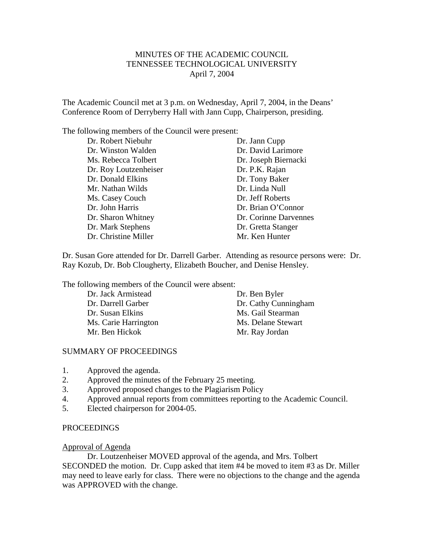# MINUTES OF THE ACADEMIC COUNCIL TENNESSEE TECHNOLOGICAL UNIVERSITY April 7, 2004

The Academic Council met at 3 p.m. on Wednesday, April 7, 2004, in the Deans' Conference Room of Derryberry Hall with Jann Cupp, Chairperson, presiding.

The following members of the Council were present:

Dr. Robert Niebuhr Dr. Jann Cupp Dr. Winston Walden Dr. David Larimore Ms. Rebecca Tolbert Dr. Joseph Biernacki Dr. Roy Loutzenheiser Dr. P.K. Rajan Dr. Donald Elkins Dr. Tony Baker Mr. Nathan Wilds Dr. Linda Null Ms. Casey Couch Dr. Jeff Roberts Dr. John Harris Dr. Brian O'Connor Dr. Mark Stephens Dr. Gretta Stanger Dr. Christine Miller Miller Mr. Ken Hunter

Dr. Sharon Whitney Dr. Corinne Darvennes

Dr. Susan Gore attended for Dr. Darrell Garber. Attending as resource persons were: Dr. Ray Kozub, Dr. Bob Clougherty, Elizabeth Boucher, and Denise Hensley.

The following members of the Council were absent:

| Dr. Ben Byler        |
|----------------------|
| Dr. Cathy Cunningham |
| Ms. Gail Stearman    |
| Ms. Delane Stewart   |
| Mr. Ray Jordan       |
|                      |

## SUMMARY OF PROCEEDINGS

- 1. Approved the agenda.
- 2. Approved the minutes of the February 25 meeting.
- 3. Approved proposed changes to the Plagiarism Policy
- 4. Approved annual reports from committees reporting to the Academic Council.
- 5. Elected chairperson for 2004-05.

## PROCEEDINGS

#### Approval of Agenda

Dr. Loutzenheiser MOVED approval of the agenda, and Mrs. Tolbert

SECONDED the motion. Dr. Cupp asked that item #4 be moved to item #3 as Dr. Miller may need to leave early for class. There were no objections to the change and the agenda was APPROVED with the change.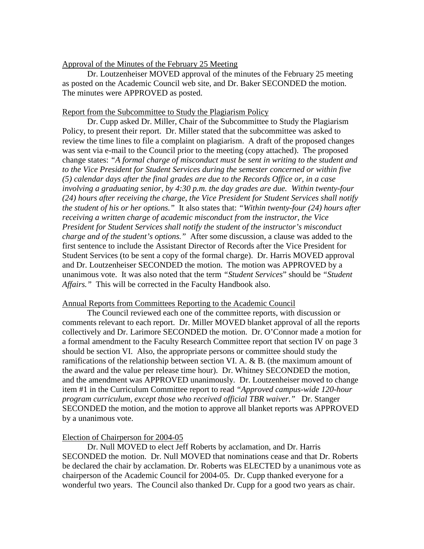### Approval of the Minutes of the February 25 Meeting

Dr. Loutzenheiser MOVED approval of the minutes of the February 25 meeting as posted on the Academic Council web site, and Dr. Baker SECONDED the motion. The minutes were APPROVED as posted.

### Report from the Subcommittee to Study the Plagiarism Policy

Dr. Cupp asked Dr. Miller, Chair of the Subcommittee to Study the Plagiarism Policy, to present their report. Dr. Miller stated that the subcommittee was asked to review the time lines to file a complaint on plagiarism. A draft of the proposed changes was sent via e-mail to the Council prior to the meeting (copy attached). The proposed change states: *"A formal charge of misconduct must be sent in writing to the student and to the Vice President for Student Services during the semester concerned or within five (5) calendar days after the final grades are due to the Records Office or, in a case involving a graduating senior, by 4:30 p.m. the day grades are due. Within twenty-four (24) hours after receiving the charge, the Vice President for Student Services shall notify the student of his or her options."* It also states that: *"Within twenty-four (24) hours after receiving a written charge of academic misconduct from the instructor, the Vice President for Student Services shall notify the student of the instructor's misconduct charge and of the student's options."* After some discussion, a clause was added to the first sentence to include the Assistant Director of Records after the Vice President for Student Services (to be sent a copy of the formal charge). Dr. Harris MOVED approval and Dr. Loutzenheiser SECONDED the motion. The motion was APPROVED by a unanimous vote. It was also noted that the term *"Student Services*" should be *"Student Affairs."* This will be corrected in the Faculty Handbook also.

#### Annual Reports from Committees Reporting to the Academic Council

The Council reviewed each one of the committee reports, with discussion or comments relevant to each report. Dr. Miller MOVED blanket approval of all the reports collectively and Dr. Larimore SECONDED the motion. Dr. O'Connor made a motion for a formal amendment to the Faculty Research Committee report that section IV on page 3 should be section VI. Also, the appropriate persons or committee should study the ramifications of the relationship between section VI. A. & B. (the maximum amount of the award and the value per release time hour). Dr. Whitney SECONDED the motion, and the amendment was APPROVED unanimously. Dr. Loutzenheiser moved to change item #1 in the Curriculum Committee report to read *"Approved campus-wide 120-hour program curriculum, except those who received official TBR waiver."* Dr. Stanger SECONDED the motion, and the motion to approve all blanket reports was APPROVED by a unanimous vote.

#### Election of Chairperson for 2004-05

Dr. Null MOVED to elect Jeff Roberts by acclamation, and Dr. Harris SECONDED the motion. Dr. Null MOVED that nominations cease and that Dr. Roberts be declared the chair by acclamation. Dr. Roberts was ELECTED by a unanimous vote as chairperson of the Academic Council for 2004-05. Dr. Cupp thanked everyone for a wonderful two years. The Council also thanked Dr. Cupp for a good two years as chair.